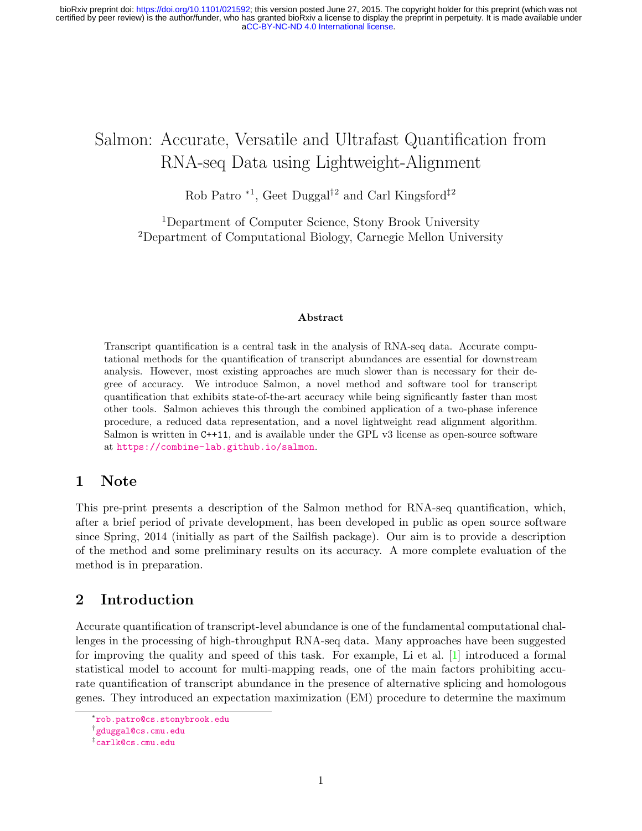# Salmon: Accurate, Versatile and Ultrafast Quantification from RNA-seq Data using Lightweight-Alignment

Rob Patro <sup>\*1</sup>, Geet Duggal<sup>†2</sup> and Carl Kingsford<sup>‡2</sup>

<sup>1</sup>Department of Computer Science, Stony Brook University <sup>2</sup>Department of Computational Biology, Carnegie Mellon University

#### Abstract

Transcript quantification is a central task in the analysis of RNA-seq data. Accurate computational methods for the quantification of transcript abundances are essential for downstream analysis. However, most existing approaches are much slower than is necessary for their degree of accuracy. We introduce Salmon, a novel method and software tool for transcript quantification that exhibits state-of-the-art accuracy while being significantly faster than most other tools. Salmon achieves this through the combined application of a two-phase inference procedure, a reduced data representation, and a novel lightweight read alignment algorithm. Salmon is written in C++11, and is available under the GPL v3 license as open-source software at <https://combine-lab.github.io/salmon>.

# 1 Note

This pre-print presents a description of the Salmon method for RNA-seq quantification, which, after a brief period of private development, has been developed in public as open source software since Spring, 2014 (initially as part of the Sailfish package). Our aim is to provide a description of the method and some preliminary results on its accuracy. A more complete evaluation of the method is in preparation.

# 2 Introduction

Accurate quantification of transcript-level abundance is one of the fundamental computational challenges in the processing of high-throughput RNA-seq data. Many approaches have been suggested for improving the quality and speed of this task. For example, Li et al. [\[1\]](#page-16-0) introduced a formal statistical model to account for multi-mapping reads, one of the main factors prohibiting accurate quantification of transcript abundance in the presence of alternative splicing and homologous genes. They introduced an expectation maximization (EM) procedure to determine the maximum

<sup>∗</sup> <rob.patro@cs.stonybrook.edu>

<sup>†</sup> <gduggal@cs.cmu.edu>

<sup>‡</sup> <carlk@cs.cmu.edu>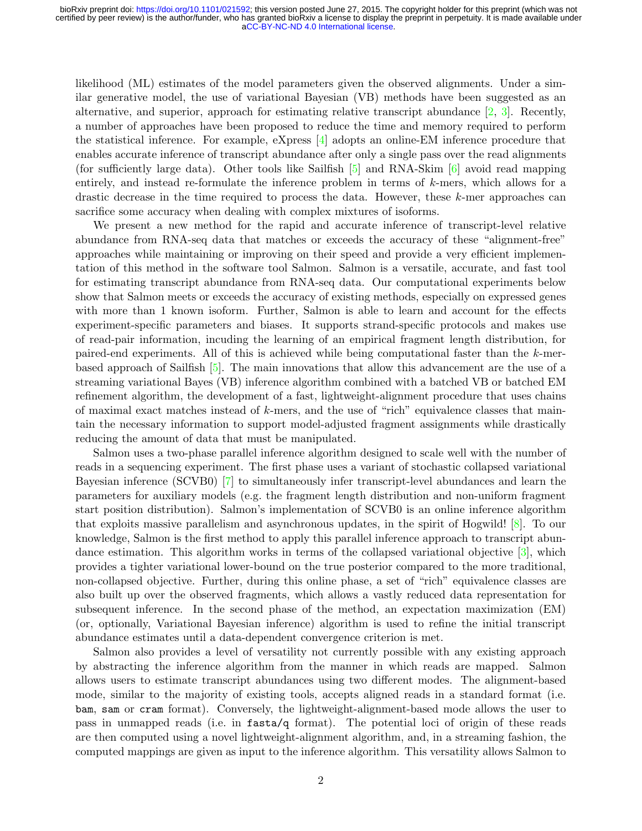likelihood (ML) estimates of the model parameters given the observed alignments. Under a similar generative model, the use of variational Bayesian (VB) methods have been suggested as an alternative, and superior, approach for estimating relative transcript abundance [\[2,](#page-16-1) [3\]](#page-16-2). Recently, a number of approaches have been proposed to reduce the time and memory required to perform the statistical inference. For example, eXpress [\[4\]](#page-16-3) adopts an online-EM inference procedure that enables accurate inference of transcript abundance after only a single pass over the read alignments (for sufficiently large data). Other tools like Sailfish  $[5]$  and RNA-Skim  $[6]$  avoid read mapping entirely, and instead re-formulate the inference problem in terms of k-mers, which allows for a drastic decrease in the time required to process the data. However, these k-mer approaches can sacrifice some accuracy when dealing with complex mixtures of isoforms.

We present a new method for the rapid and accurate inference of transcript-level relative abundance from RNA-seq data that matches or exceeds the accuracy of these "alignment-free" approaches while maintaining or improving on their speed and provide a very efficient implementation of this method in the software tool Salmon. Salmon is a versatile, accurate, and fast tool for estimating transcript abundance from RNA-seq data. Our computational experiments below show that Salmon meets or exceeds the accuracy of existing methods, especially on expressed genes with more than 1 known isoform. Further, Salmon is able to learn and account for the effects experiment-specific parameters and biases. It supports strand-specific protocols and makes use of read-pair information, incuding the learning of an empirical fragment length distribution, for paired-end experiments. All of this is achieved while being computational faster than the  $k$ -merbased approach of Sailfish [\[5\]](#page-16-4). The main innovations that allow this advancement are the use of a streaming variational Bayes (VB) inference algorithm combined with a batched VB or batched EM refinement algorithm, the development of a fast, lightweight-alignment procedure that uses chains of maximal exact matches instead of  $k$ -mers, and the use of "rich" equivalence classes that maintain the necessary information to support model-adjusted fragment assignments while drastically reducing the amount of data that must be manipulated.

Salmon uses a two-phase parallel inference algorithm designed to scale well with the number of reads in a sequencing experiment. The first phase uses a variant of stochastic collapsed variational Bayesian inference (SCVB0) [\[7\]](#page-16-6) to simultaneously infer transcript-level abundances and learn the parameters for auxiliary models (e.g. the fragment length distribution and non-uniform fragment start position distribution). Salmon's implementation of SCVB0 is an online inference algorithm that exploits massive parallelism and asynchronous updates, in the spirit of Hogwild! [\[8\]](#page-16-7). To our knowledge, Salmon is the first method to apply this parallel inference approach to transcript abundance estimation. This algorithm works in terms of the collapsed variational objective [\[3\]](#page-16-2), which provides a tighter variational lower-bound on the true posterior compared to the more traditional, non-collapsed objective. Further, during this online phase, a set of "rich" equivalence classes are also built up over the observed fragments, which allows a vastly reduced data representation for subsequent inference. In the second phase of the method, an expectation maximization (EM) (or, optionally, Variational Bayesian inference) algorithm is used to refine the initial transcript abundance estimates until a data-dependent convergence criterion is met.

Salmon also provides a level of versatility not currently possible with any existing approach by abstracting the inference algorithm from the manner in which reads are mapped. Salmon allows users to estimate transcript abundances using two different modes. The alignment-based mode, similar to the majority of existing tools, accepts aligned reads in a standard format (i.e. bam, sam or cram format). Conversely, the lightweight-alignment-based mode allows the user to pass in unmapped reads (i.e. in fasta/q format). The potential loci of origin of these reads are then computed using a novel lightweight-alignment algorithm, and, in a streaming fashion, the computed mappings are given as input to the inference algorithm. This versatility allows Salmon to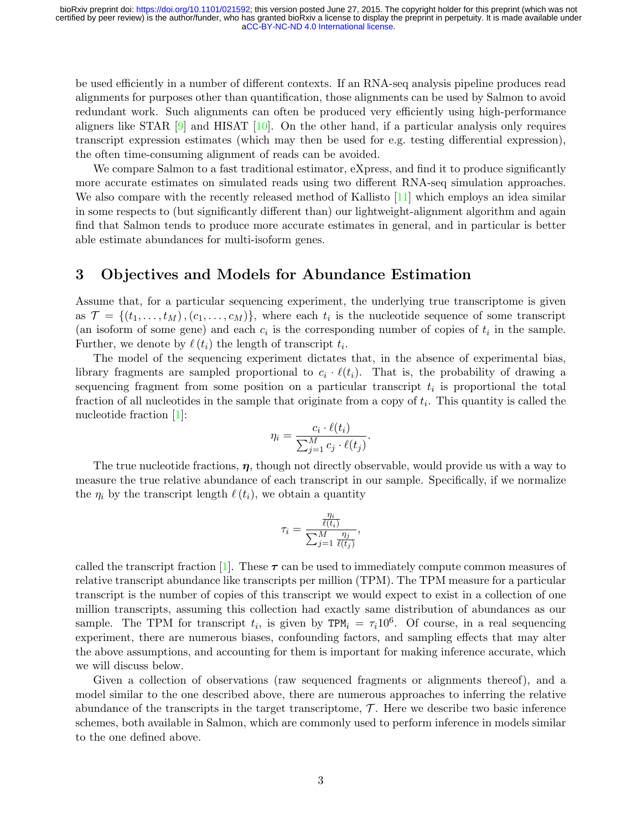be used efficiently in a number of different contexts. If an RNA-seq analysis pipeline produces read alignments for purposes other than quantification, those alignments can be used by Salmon to avoid redundant work. Such alignments can often be produced very efficiently using high-performance aligners like STAR [\[9\]](#page-16-8) and HISAT [\[10\]](#page-16-9). On the other hand, if a particular analysis only requires transcript expression estimates (which may then be used for e.g. testing differential expression), the often time-consuming alignment of reads can be avoided.

We compare Salmon to a fast traditional estimator, eXpress, and find it to produce significantly more accurate estimates on simulated reads using two different RNA-seq simulation approaches. We also compare with the recently released method of Kallisto [\[11\]](#page-16-10) which employs an idea similar in some respects to (but significantly different than) our lightweight-alignment algorithm and again find that Salmon tends to produce more accurate estimates in general, and in particular is better able estimate abundances for multi-isoform genes.

# <span id="page-2-0"></span>3 Objectives and Models for Abundance Estimation

Assume that, for a particular sequencing experiment, the underlying true transcriptome is given as  $\mathcal{T} = \{(t_1, \ldots, t_M), (c_1, \ldots, c_M)\},\$  where each  $t_i$  is the nucleotide sequence of some transcript (an isoform of some gene) and each  $c_i$  is the corresponding number of copies of  $t_i$  in the sample. Further, we denote by  $\ell(t_i)$  the length of transcript  $t_i$ .

The model of the sequencing experiment dictates that, in the absence of experimental bias, library fragments are sampled proportional to  $c_i \cdot \ell(t_i)$ . That is, the probability of drawing a sequencing fragment from some position on a particular transcript  $t_i$  is proportional the total fraction of all nucleotides in the sample that originate from a copy of  $t_i$ . This quantity is called the nucleotide fraction [\[1\]](#page-16-0):

$$
\eta_i = \frac{c_i \cdot \ell(t_i)}{\sum_{j=1}^M c_j \cdot \ell(t_j)}.
$$

The true nucleotide fractions,  $\eta$ , though not directly observable, would provide us with a way to measure the true relative abundance of each transcript in our sample. Specifically, if we normalize the  $\eta_i$  by the transcript length  $\ell(t_i)$ , we obtain a quantity

$$
\tau_i = \frac{\frac{\eta_i}{\ell(t_i)}}{\sum_{j=1}^M \frac{\eta_j}{\ell(t_j)}},
$$

called the transcript fraction [\[1\]](#page-16-0). These  $\tau$  can be used to immediately compute common measures of relative transcript abundance like transcripts per million (TPM). The TPM measure for a particular transcript is the number of copies of this transcript we would expect to exist in a collection of one million transcripts, assuming this collection had exactly same distribution of abundances as our sample. The TPM for transcript  $t_i$ , is given by TPM<sub>i</sub> =  $\tau_i 10^6$ . Of course, in a real sequencing experiment, there are numerous biases, confounding factors, and sampling effects that may alter the above assumptions, and accounting for them is important for making inference accurate, which we will discuss below.

Given a collection of observations (raw sequenced fragments or alignments thereof), and a model similar to the one described above, there are numerous approaches to inferring the relative abundance of the transcripts in the target transcriptome,  $\mathcal{T}$ . Here we describe two basic inference schemes, both available in Salmon, which are commonly used to perform inference in models similar to the one defined above.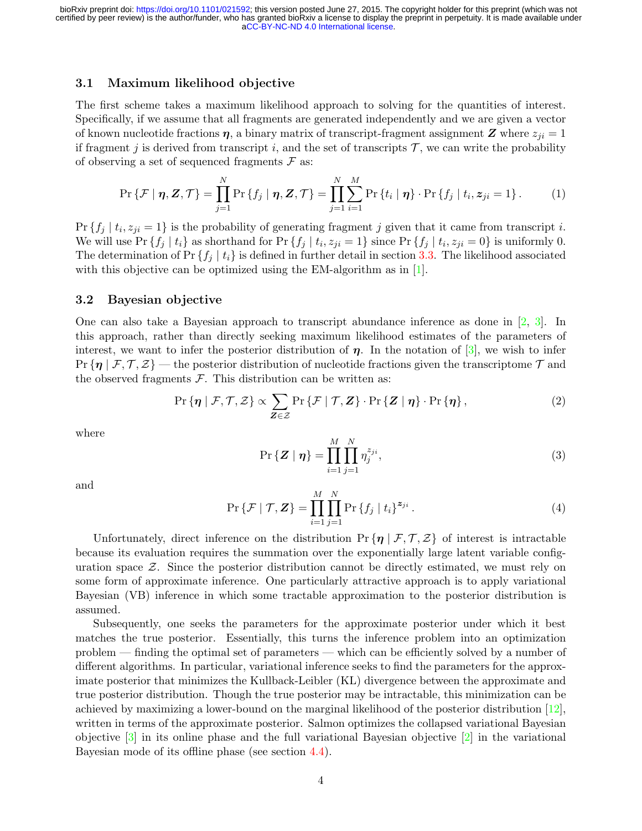### 3.1 Maximum likelihood objective

The first scheme takes a maximum likelihood approach to solving for the quantities of interest. Specifically, if we assume that all fragments are generated independently and we are given a vector of known nucleotide fractions  $\eta$ , a binary matrix of transcript-fragment assignment Z where  $z_{ji} = 1$ if fragment j is derived from transcript i, and the set of transcripts  $\mathcal{T}$ , we can write the probability of observing a set of sequenced fragments  $\mathcal F$  as:

$$
\Pr\left\{\mathcal{F} \mid \boldsymbol{\eta}, \mathbf{Z}, \mathcal{T}\right\} = \prod_{j=1}^{N} \Pr\left\{f_j \mid \boldsymbol{\eta}, \mathbf{Z}, \mathcal{T}\right\} = \prod_{j=1}^{N} \sum_{i=1}^{M} \Pr\left\{t_i \mid \boldsymbol{\eta}\right\} \cdot \Pr\left\{f_j \mid t_i, z_{ji} = 1\right\}.
$$
 (1)

 $Pr\{f_j | t_i, z_{ji} = 1\}$  is the probability of generating fragment j given that it came from transcript i. We will use Pr  $\{f_j | t_i\}$  as shorthand for Pr  $\{f_j | t_i, z_{ji} = 1\}$  since Pr  $\{f_j | t_i, z_{ji} = 0\}$  is uniformly 0. The determination of Pr  $\{f_i | t_i\}$  is defined in further detail in section [3.3.](#page-4-0) The likelihood associated with this objective can be optimized using the EM-algorithm as in [\[1\]](#page-16-0).

### 3.2 Bayesian objective

One can also take a Bayesian approach to transcript abundance inference as done in [\[2,](#page-16-1) [3\]](#page-16-2). In this approach, rather than directly seeking maximum likelihood estimates of the parameters of interest, we want to infer the posterior distribution of  $\eta$ . In the notation of [\[3\]](#page-16-2), we wish to infer  $Pr\{\eta \mid \mathcal{F}, \mathcal{T}, \mathcal{Z}\}$  — the posterior distribution of nucleotide fractions given the transcriptome  $\mathcal{T}$  and the observed fragments  $\mathcal F$ . This distribution can be written as:

$$
\Pr\left\{\boldsymbol{\eta} \mid \mathcal{F}, \mathcal{T}, \mathcal{Z}\right\} \propto \sum_{\mathbf{Z} \in \mathcal{Z}} \Pr\left\{\mathcal{F} \mid \mathcal{T}, \mathbf{Z}\right\} \cdot \Pr\left\{\mathbf{Z} \mid \boldsymbol{\eta}\right\} \cdot \Pr\left\{\boldsymbol{\eta}\right\},\tag{2}
$$

where

$$
\Pr\{\mathbf{Z} \mid \boldsymbol{\eta}\} = \prod_{i=1}^{M} \prod_{j=1}^{N} \eta_j^{z_{ji}},\tag{3}
$$

and

$$
\Pr\{\mathcal{F} \mid \mathcal{T}, \mathbf{Z}\} = \prod_{i=1}^{M} \prod_{j=1}^{N} \Pr\{f_j \mid t_i\}^{z_{ji}}.
$$
\n(4)

Unfortunately, direct inference on the distribution  $\Pr \{\eta \mid \mathcal{F}, \mathcal{T}, \mathcal{Z}\}\$  of interest is intractable because its evaluation requires the summation over the exponentially large latent variable configuration space  $\mathcal{Z}$ . Since the posterior distribution cannot be directly estimated, we must rely on some form of approximate inference. One particularly attractive approach is to apply variational Bayesian (VB) inference in which some tractable approximation to the posterior distribution is assumed.

Subsequently, one seeks the parameters for the approximate posterior under which it best matches the true posterior. Essentially, this turns the inference problem into an optimization problem — finding the optimal set of parameters — which can be efficiently solved by a number of different algorithms. In particular, variational inference seeks to find the parameters for the approximate posterior that minimizes the Kullback-Leibler (KL) divergence between the approximate and true posterior distribution. Though the true posterior may be intractable, this minimization can be achieved by maximizing a lower-bound on the marginal likelihood of the posterior distribution [\[12\]](#page-16-11), written in terms of the approximate posterior. Salmon optimizes the collapsed variational Bayesian objective [\[3\]](#page-16-2) in its online phase and the full variational Bayesian objective [\[2\]](#page-16-1) in the variational Bayesian mode of its offline phase (see section [4.4\)](#page-9-0).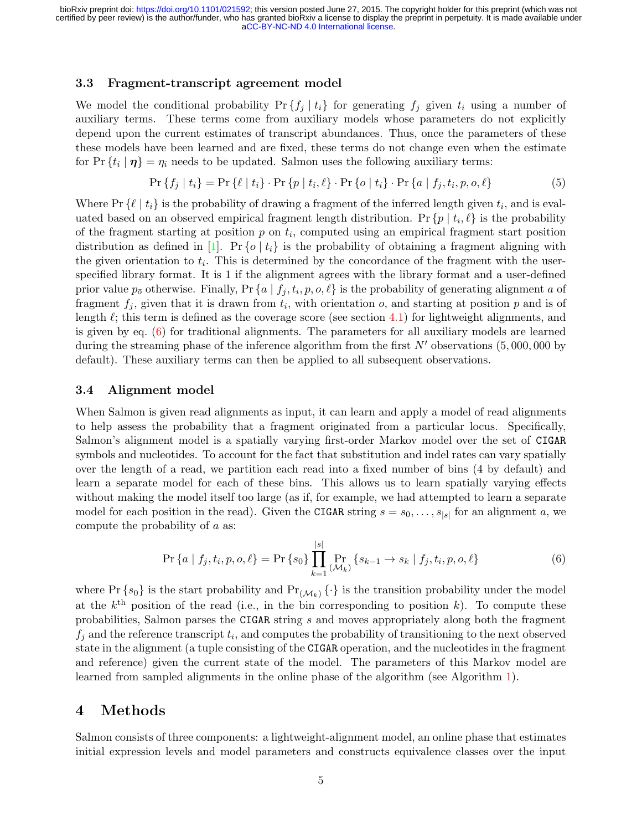### <span id="page-4-0"></span>3.3 Fragment-transcript agreement model

We model the conditional probability  $Pr\{f_i | t_i\}$  for generating  $f_i$  given  $t_i$  using a number of auxiliary terms. These terms come from auxiliary models whose parameters do not explicitly depend upon the current estimates of transcript abundances. Thus, once the parameters of these these models have been learned and are fixed, these terms do not change even when the estimate for  $Pr\{t_i | \eta\} = \eta_i$  needs to be updated. Salmon uses the following auxiliary terms:

$$
\Pr\{f_j \mid t_i\} = \Pr\{\ell \mid t_i\} \cdot \Pr\{p \mid t_i, \ell\} \cdot \Pr\{o \mid t_i\} \cdot \Pr\{a \mid f_j, t_i, p, o, \ell\} \tag{5}
$$

Where  $Pr\{\ell \mid t_i\}$  is the probability of drawing a fragment of the inferred length given  $t_i$ , and is evaluated based on an observed empirical fragment length distribution. Pr  $\{p \mid t_i, \ell\}$  is the probability of the fragment starting at position  $p$  on  $t_i$ , computed using an empirical fragment start position distribution as defined in [\[1\]](#page-16-0). Pr {o |  $t_i$ } is the probability of obtaining a fragment aligning with the given orientation to  $t_i$ . This is determined by the concordance of the fragment with the userspecified library format. It is 1 if the alignment agrees with the library format and a user-defined prior value  $p_{\bar{o}}$  otherwise. Finally, Pr  $\{a \mid f_j, t_i, p, o, \ell\}$  is the probability of generating alignment a of fragment  $f_j$ , given that it is drawn from  $t_i$ , with orientation  $o$ , and starting at position  $p$  and is of length  $\ell$ ; this term is defined as the coverage score (see section [4.1\)](#page-5-0) for lightweight alignments, and is given by eq. [\(6\)](#page-4-1) for traditional alignments. The parameters for all auxiliary models are learned during the streaming phase of the inference algorithm from the first  $N'$  observations (5,000,000 by default). These auxiliary terms can then be applied to all subsequent observations.

#### 3.4 Alignment model

When Salmon is given read alignments as input, it can learn and apply a model of read alignments to help assess the probability that a fragment originated from a particular locus. Specifically, Salmon's alignment model is a spatially varying first-order Markov model over the set of CIGAR symbols and nucleotides. To account for the fact that substitution and indel rates can vary spatially over the length of a read, we partition each read into a fixed number of bins (4 by default) and learn a separate model for each of these bins. This allows us to learn spatially varying effects without making the model itself too large (as if, for example, we had attempted to learn a separate model for each position in the read). Given the CIGAR string  $s = s_0, \ldots, s_{|s|}$  for an alignment a, we compute the probability of a as:

<span id="page-4-1"></span>
$$
\Pr\left\{a \mid f_j, t_i, p, o, \ell\right\} = \Pr\left\{s_0\right\} \prod_{k=1}^{|s|} \Pr_{\left(\mathcal{M}_k\right)} \left\{s_{k-1} \to s_k \mid f_j, t_i, p, o, \ell\right\} \tag{6}
$$

where Pr  $\{s_0\}$  is the start probability and  $Pr(\mathcal{M}_k)$   $\{\cdot\}$  is the transition probability under the model at the  $k^{\text{th}}$  position of the read (i.e., in the bin corresponding to position k). To compute these probabilities, Salmon parses the CIGAR string s and moves appropriately along both the fragment  $f_j$  and the reference transcript  $t_i$ , and computes the probability of transitioning to the next observed state in the alignment (a tuple consisting of the CIGAR operation, and the nucleotides in the fragment and reference) given the current state of the model. The parameters of this Markov model are learned from sampled alignments in the online phase of the algorithm (see Algorithm [1\)](#page-7-0).

# 4 Methods

Salmon consists of three components: a lightweight-alignment model, an online phase that estimates initial expression levels and model parameters and constructs equivalence classes over the input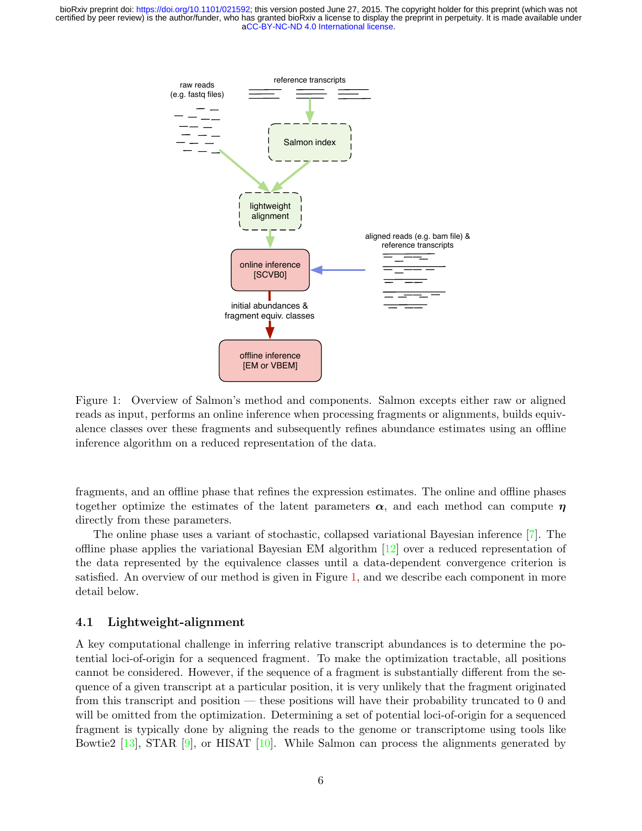<span id="page-5-1"></span>

Figure 1: Overview of Salmon's method and components. Salmon excepts either raw or aligned reads as input, performs an online inference when processing fragments or alignments, builds equivalence classes over these fragments and subsequently refines abundance estimates using an offline inference algorithm on a reduced representation of the data.

fragments, and an offline phase that refines the expression estimates. The online and offline phases together optimize the estimates of the latent parameters  $\alpha$ , and each method can compute  $\eta$ directly from these parameters.

The online phase uses a variant of stochastic, collapsed variational Bayesian inference [\[7\]](#page-16-6). The offline phase applies the variational Bayesian EM algorithm [\[12\]](#page-16-11) over a reduced representation of the data represented by the equivalence classes until a data-dependent convergence criterion is satisfied. An overview of our method is given in Figure [1,](#page-5-1) and we describe each component in more detail below.

### <span id="page-5-0"></span>4.1 Lightweight-alignment

A key computational challenge in inferring relative transcript abundances is to determine the potential loci-of-origin for a sequenced fragment. To make the optimization tractable, all positions cannot be considered. However, if the sequence of a fragment is substantially different from the sequence of a given transcript at a particular position, it is very unlikely that the fragment originated from this transcript and position — these positions will have their probability truncated to 0 and will be omitted from the optimization. Determining a set of potential loci-of-origin for a sequenced fragment is typically done by aligning the reads to the genome or transcriptome using tools like Bowtie2 [\[13\]](#page-16-12), STAR [\[9\]](#page-16-8), or HISAT [\[10\]](#page-16-9). While Salmon can process the alignments generated by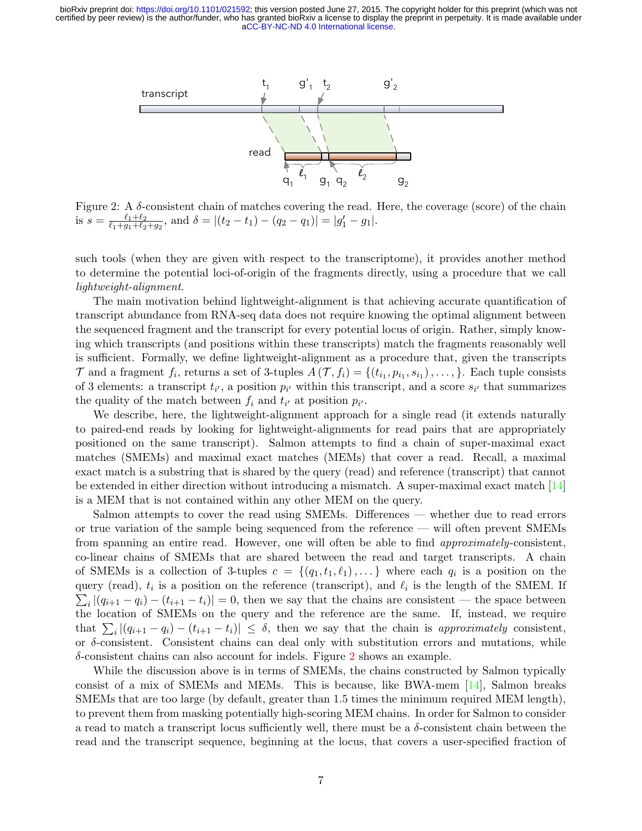<span id="page-6-0"></span>![](_page_6_Figure_1.jpeg)

Figure 2: A δ-consistent chain of matches covering the read. Here, the coverage (score) of the chain is  $s = \frac{\ell_1 + \ell_2}{\ell_1 + \ell_2 + \ell_2}$  $\frac{\ell_1+\ell_2}{\ell_1+g_1+\ell_2+g_2}$ , and  $\delta = |(t_2-t_1)-(q_2-q_1)| = |g'_1-g_1|.$ 

such tools (when they are given with respect to the transcriptome), it provides another method to determine the potential loci-of-origin of the fragments directly, using a procedure that we call lightweight-alignment.

The main motivation behind lightweight-alignment is that achieving accurate quantification of transcript abundance from RNA-seq data does not require knowing the optimal alignment between the sequenced fragment and the transcript for every potential locus of origin. Rather, simply knowing which transcripts (and positions within these transcripts) match the fragments reasonably well is sufficient. Formally, we define lightweight-alignment as a procedure that, given the transcripts  $\mathcal T$  and a fragment  $f_i$ , returns a set of 3-tuples  $A(\mathcal T, f_i) = \{(t_{i_1}, p_{i_1}, s_{i_1}), \ldots, \}$ . Each tuple consists of 3 elements: a transcript  $t_{i'}$ , a position  $p_{i'}$  within this transcript, and a score  $s_{i'}$  that summarizes the quality of the match between  $f_i$  and  $t_{i'}$  at position  $p_{i'}$ .

We describe, here, the lightweight-alignment approach for a single read (it extends naturally to paired-end reads by looking for lightweight-alignments for read pairs that are appropriately positioned on the same transcript). Salmon attempts to find a chain of super-maximal exact matches (SMEMs) and maximal exact matches (MEMs) that cover a read. Recall, a maximal exact match is a substring that is shared by the query (read) and reference (transcript) that cannot be extended in either direction without introducing a mismatch. A super-maximal exact match [\[14\]](#page-16-13) is a MEM that is not contained within any other MEM on the query.

Salmon attempts to cover the read using SMEMs. Differences — whether due to read errors or true variation of the sample being sequenced from the reference — will often prevent SMEMs from spanning an entire read. However, one will often be able to find approximately-consistent, co-linear chains of SMEMs that are shared between the read and target transcripts. A chain of SMEMs is a collection of 3-tuples  $c = \{(q_1, t_1, \ell_1), \dots\}$  where each  $q_i$  is a position on the query (read),  $t_i$  is a position on the reference (transcript), and  $\ell_i$  is the length of the SMEM. If  $\sum_i |(q_{i+1} - q_i) - (t_{i+1} - t_i)| = 0$ , then we say that the chains are consistent — the space between the location of SMEMs on the query and the reference are the same. If, instead, we require that  $\sum_i |(q_{i+1} - q_i) - (t_{i+1} - t_i)| \leq \delta$ , then we say that the chain is approximately consistent, or  $\delta$ -consistent. Consistent chains can deal only with substitution errors and mutations, while δ-consistent chains can also account for indels. Figure [2](#page-6-0) shows an example.

While the discussion above is in terms of SMEMs, the chains constructed by Salmon typically consist of a mix of SMEMs and MEMs. This is because, like BWA-mem [\[14\]](#page-16-13), Salmon breaks SMEMs that are too large (by default, greater than 1.5 times the minimum required MEM length), to prevent them from masking potentially high-scoring MEM chains. In order for Salmon to consider a read to match a transcript locus sufficiently well, there must be a  $\delta$ -consistent chain between the read and the transcript sequence, beginning at the locus, that covers a user-specified fraction of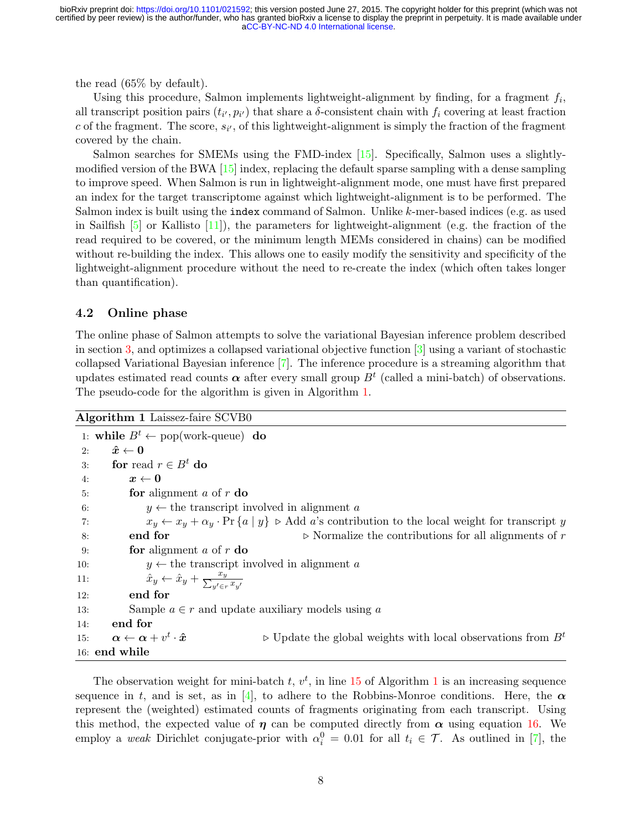the read (65% by default).

Using this procedure, Salmon implements lightweight-alignment by finding, for a fragment  $f_i$ , all transcript position pairs  $(t_{i'}, p_{i'})$  that share a  $\delta$ -consistent chain with  $f_i$  covering at least fraction c of the fragment. The score,  $s_{i'}$ , of this lightweight-alignment is simply the fraction of the fragment covered by the chain.

Salmon searches for SMEMs using the FMD-index [\[15\]](#page-16-14). Specifically, Salmon uses a slightlymodified version of the BWA  $[15]$  index, replacing the default sparse sampling with a dense sampling to improve speed. When Salmon is run in lightweight-alignment mode, one must have first prepared an index for the target transcriptome against which lightweight-alignment is to be performed. The Salmon index is built using the index command of Salmon. Unlike k-mer-based indices (e.g. as used in Sailfish  $[5]$  or Kallisto  $[11]$ ), the parameters for lightweight-alignment (e.g. the fraction of the read required to be covered, or the minimum length MEMs considered in chains) can be modified without re-building the index. This allows one to easily modify the sensitivity and specificity of the lightweight-alignment procedure without the need to re-create the index (which often takes longer than quantification).

### 4.2 Online phase

The online phase of Salmon attempts to solve the variational Bayesian inference problem described in section [3,](#page-2-0) and optimizes a collapsed variational objective function  $\lceil 3 \rceil$  using a variant of stochastic collapsed Variational Bayesian inference [\[7\]](#page-16-6). The inference procedure is a streaming algorithm that updates estimated read counts  $\alpha$  after every small group  $B<sup>t</sup>$  (called a mini-batch) of observations. The pseudo-code for the algorithm is given in Algorithm [1.](#page-7-0)

<span id="page-7-0"></span>Algorithm 1 Laissez-faire SCVB0

1: while  $B^t \leftarrow \text{pop}(\text{work-queue})$  do 2:  $\hat{x} \leftarrow 0$ 3: for read  $r \in B^t$  do 4:  $x \leftarrow 0$ 5: **for** alignment a of  $r$  do 6:  $y \leftarrow$  the transcript involved in alignment a 7:  $x_y \leftarrow x_y + \alpha_y \cdot \Pr\{a \mid y\}$   $\triangleright$  Add a's contribution to the local weight for transcript y 8: **end for**  $\triangleright$  Normalize the contributions for all alignments of r 9: **for** alignment  $a$  of  $r$  **do** 10:  $y \leftarrow$  the transcript involved in alignment a 11:  $\hat{x}_y \leftarrow \hat{x}_y + \frac{x_y}{\sum_{y' \in r} x_{y'}}$ 12: end for 13: Sample  $a \in r$  and update auxiliary models using a 14: end for 15:  $\boldsymbol{\alpha} \leftarrow \boldsymbol{\alpha} + v^t$  $\triangleright$  Update the global weights with local observations from  $B<sup>t</sup>$ 16: end while

The observation weight for mini-batch  $t, v^t$ , in line [15](#page-7-0) of Algorithm [1](#page-7-0) is an increasing sequence sequence in t, and is set, as in [\[4\]](#page-16-3), to adhere to the Robbins-Monroe conditions. Here, the  $\alpha$ represent the (weighted) estimated counts of fragments originating from each transcript. Using this method, the expected value of  $\eta$  can be computed directly from  $\alpha$  using equation [16.](#page-10-0) We employ a weak Dirichlet conjugate-prior with  $\alpha_i^0 = 0.01$  for all  $t_i \in \mathcal{T}$ . As outlined in [\[7\]](#page-16-6), the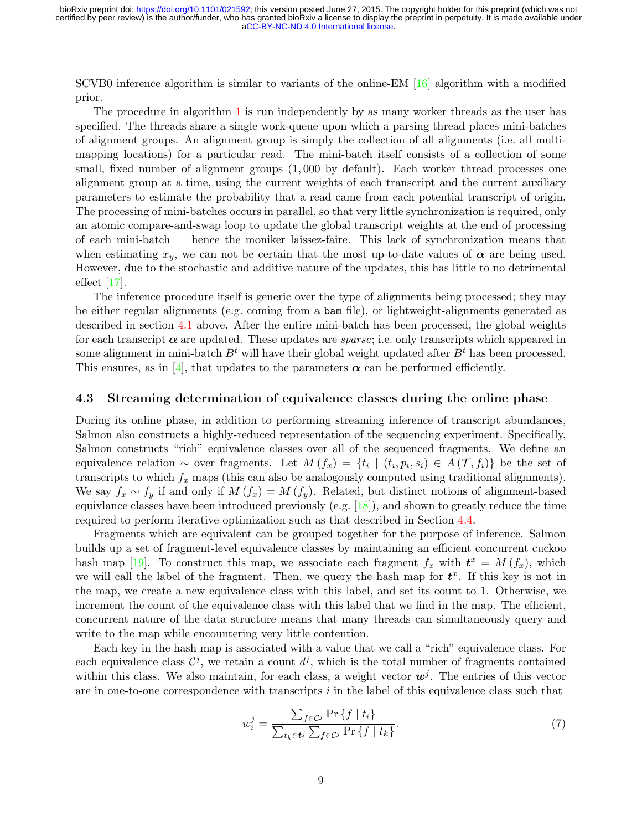SCVB0 inference algorithm is similar to variants of the online-EM [\[16\]](#page-16-15) algorithm with a modified prior.

The procedure in algorithm [1](#page-7-0) is run independently by as many worker threads as the user has specified. The threads share a single work-queue upon which a parsing thread places mini-batches of alignment groups. An alignment group is simply the collection of all alignments (i.e. all multimapping locations) for a particular read. The mini-batch itself consists of a collection of some small, fixed number of alignment groups (1, 000 by default). Each worker thread processes one alignment group at a time, using the current weights of each transcript and the current auxiliary parameters to estimate the probability that a read came from each potential transcript of origin. The processing of mini-batches occurs in parallel, so that very little synchronization is required, only an atomic compare-and-swap loop to update the global transcript weights at the end of processing of each mini-batch — hence the moniker laissez-faire. This lack of synchronization means that when estimating  $x_y$ , we can not be certain that the most up-to-date values of  $\alpha$  are being used. However, due to the stochastic and additive nature of the updates, this has little to no detrimental effect [\[17\]](#page-16-16).

The inference procedure itself is generic over the type of alignments being processed; they may be either regular alignments (e.g. coming from a bam file), or lightweight-alignments generated as described in section [4.1](#page-5-0) above. After the entire mini-batch has been processed, the global weights for each transcript  $\alpha$  are updated. These updates are sparse; i.e. only transcripts which appeared in some alignment in mini-batch  $B<sup>t</sup>$  will have their global weight updated after  $B<sup>t</sup>$  has been processed. This ensures, as in [\[4\]](#page-16-3), that updates to the parameters  $\alpha$  can be performed efficiently.

#### 4.3 Streaming determination of equivalence classes during the online phase

During its online phase, in addition to performing streaming inference of transcript abundances, Salmon also constructs a highly-reduced representation of the sequencing experiment. Specifically, Salmon constructs "rich" equivalence classes over all of the sequenced fragments. We define an equivalence relation ~ over fragments. Let  $M(f_x) = \{t_i \mid (t_i, p_i, s_i) \in A(\mathcal{T}, f_i)\}\$ be the set of transcripts to which  $f_x$  maps (this can also be analogously computed using traditional alignments). We say  $f_x \sim f_y$  if and only if  $M(f_x) = M(f_y)$ . Related, but distinct notions of alignment-based equivlance classes have been introduced previously (e.g.  $[18]$ ), and shown to greatly reduce the time required to perform iterative optimization such as that described in Section [4.4.](#page-9-0)

Fragments which are equivalent can be grouped together for the purpose of inference. Salmon builds up a set of fragment-level equivalence classes by maintaining an efficient concurrent cuckoo hash map [\[19\]](#page-17-0). To construct this map, we associate each fragment  $f_x$  with  $t^x = M(f_x)$ , which we will call the label of the fragment. Then, we query the hash map for  $t^x$ . If this key is not in the map, we create a new equivalence class with this label, and set its count to 1. Otherwise, we increment the count of the equivalence class with this label that we find in the map. The efficient, concurrent nature of the data structure means that many threads can simultaneously query and write to the map while encountering very little contention.

Each key in the hash map is associated with a value that we call a "rich" equivalence class. For each equivalence class  $\mathcal{C}^j$ , we retain a count  $d^j$ , which is the total number of fragments contained within this class. We also maintain, for each class, a weight vector  $w<sup>j</sup>$ . The entries of this vector are in one-to-one correspondence with transcripts  $i$  in the label of this equivalence class such that

$$
w_i^j = \frac{\sum_{f \in \mathcal{C}^j} \Pr\{f \mid t_i\}}{\sum_{t_k \in \mathbf{t}^j} \sum_{f \in \mathcal{C}^j} \Pr\{f \mid t_k\}}.\tag{7}
$$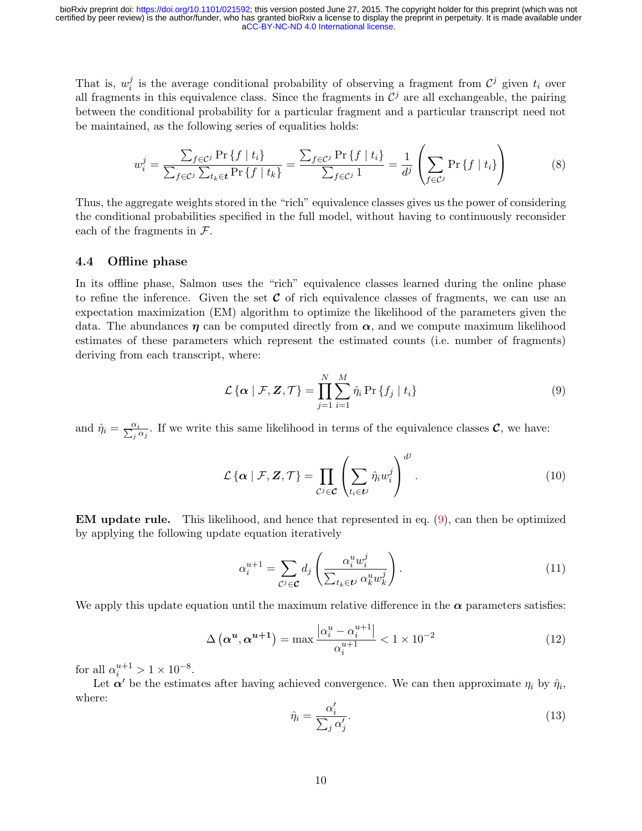That is,  $w_i^j$  $i$  is the average conditional probability of observing a fragment from  $\mathcal{C}^j$  given  $t_i$  over all fragments in this equivalence class. Since the fragments in  $\mathcal{C}^j$  are all exchangeable, the pairing between the conditional probability for a particular fragment and a particular transcript need not be maintained, as the following series of equalities holds:

$$
w_i^j = \frac{\sum_{f \in \mathcal{C}^j} \Pr \{ f \mid t_i \}}{\sum_{f \in \mathcal{C}^j} \sum_{t_k \in \mathbf{t}} \Pr \{ f \mid t_k \}} = \frac{\sum_{f \in \mathcal{C}^j} \Pr \{ f \mid t_i \}}{\sum_{f \in \mathcal{C}^j} 1} = \frac{1}{d^j} \left( \sum_{f \in \mathcal{C}^j} \Pr \{ f \mid t_i \} \right) \tag{8}
$$

Thus, the aggregate weights stored in the "rich" equivalence classes gives us the power of considering the conditional probabilities specified in the full model, without having to continuously reconsider each of the fragments in  $\mathcal{F}$ .

#### <span id="page-9-0"></span>4.4 Offline phase

In its offline phase, Salmon uses the "rich" equivalence classes learned during the online phase to refine the inference. Given the set  $C$  of rich equivalence classes of fragments, we can use an expectation maximization (EM) algorithm to optimize the likelihood of the parameters given the data. The abundances  $\eta$  can be computed directly from  $\alpha$ , and we compute maximum likelihood estimates of these parameters which represent the estimated counts (i.e. number of fragments) deriving from each transcript, where:

<span id="page-9-1"></span>
$$
\mathcal{L}\left\{\alpha \mid \mathcal{F}, \mathbf{Z}, \mathcal{T}\right\} = \prod_{j=1}^{N} \sum_{i=1}^{M} \hat{\eta}_i \Pr\left\{f_j \mid t_i\right\} \tag{9}
$$

and  $\hat{\eta}_i = \frac{\alpha_i}{\sum_j \alpha_j}$ . If we write this same likelihood in terms of the equivalence classes  $\mathcal{C}$ , we have:

$$
\mathcal{L}\left\{\alpha \mid \mathcal{F}, \mathbf{Z}, \mathcal{T}\right\} = \prod_{\mathcal{C}^j \in \mathcal{C}} \left( \sum_{t_i \in \mathcal{U}} \hat{\eta}_i w_i^j \right)^{d^j}.
$$
\n(10)

EM update rule. This likelihood, and hence that represented in eq. [\(9\)](#page-9-1), can then be optimized by applying the following update equation iteratively

<span id="page-9-2"></span>
$$
\alpha_i^{u+1} = \sum_{\mathcal{C}^j \in \mathcal{C}} d_j \left( \frac{\alpha_i^u w_i^j}{\sum_{t_k \in \mathcal{U}} \alpha_k^u w_k^j} \right). \tag{11}
$$

We apply this update equation until the maximum relative difference in the  $\alpha$  parameters satisfies:

$$
\Delta\left(\alpha^{\mathbf{u}}, \alpha^{\mathbf{u}+1}\right) = \max \frac{\left|\alpha_i^{\mathbf{u}} - \alpha_i^{\mathbf{u}+1}\right|}{\alpha_i^{\mathbf{u}+1}} < 1 \times 10^{-2} \tag{12}
$$

for all  $\alpha_i^{u+1} > 1 \times 10^{-8}$ .

Let  $\alpha'$  be the estimates after having achieved convergence. We can then approximate  $\eta_i$  by  $\hat{\eta}_i$ , where:

$$
\hat{\eta}_i = \frac{\alpha_i'}{\sum_j \alpha_j'}.\tag{13}
$$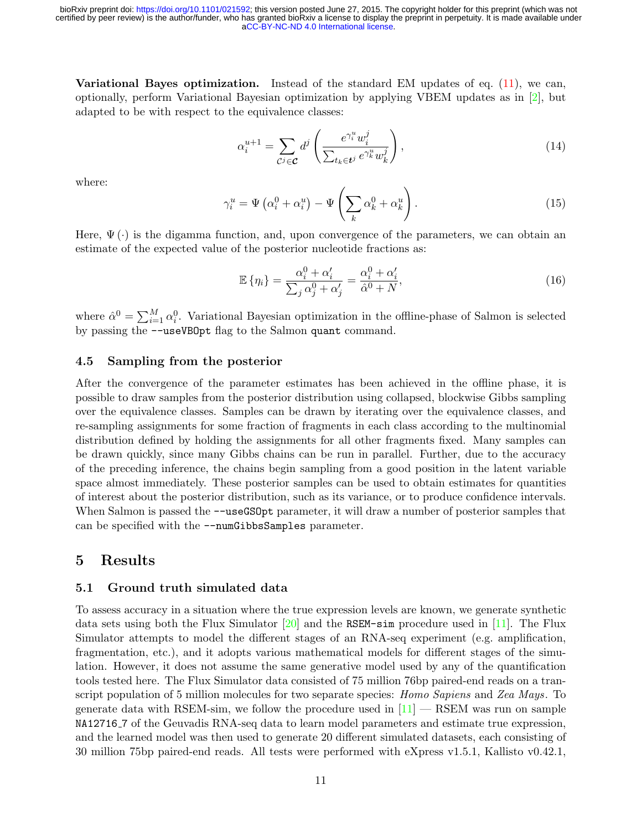Variational Bayes optimization. Instead of the standard EM updates of eq. [\(11\)](#page-9-2), we can, optionally, perform Variational Bayesian optimization by applying VBEM updates as in [\[2\]](#page-16-1), but adapted to be with respect to the equivalence classes:

$$
\alpha_i^{u+1} = \sum_{\mathcal{C}^j \in \mathcal{C}} d^j \left( \frac{e^{\gamma_i^u} w_i^j}{\sum_{t_k \in \mathbf{t}^j} e^{\gamma_k^u} w_k^j} \right),\tag{14}
$$

where:

$$
\gamma_i^u = \Psi\left(\alpha_i^0 + \alpha_i^u\right) - \Psi\left(\sum_k \alpha_k^0 + \alpha_k^u\right). \tag{15}
$$

Here,  $\Psi(\cdot)$  is the digamma function, and, upon convergence of the parameters, we can obtain an estimate of the expected value of the posterior nucleotide fractions as:

<span id="page-10-0"></span>
$$
\mathbb{E}\left\{\eta_i\right\} = \frac{\alpha_i^0 + \alpha_i'}{\sum_j \alpha_j^0 + \alpha_j'} = \frac{\alpha_i^0 + \alpha_i'}{\hat{\alpha}^0 + N},\tag{16}
$$

where  $\hat{\alpha}^0 = \sum_{i=1}^M \alpha_i^0$ . Variational Bayesian optimization in the offline-phase of Salmon is selected by passing the --useVBOpt flag to the Salmon quant command.

#### 4.5 Sampling from the posterior

After the convergence of the parameter estimates has been achieved in the offline phase, it is possible to draw samples from the posterior distribution using collapsed, blockwise Gibbs sampling over the equivalence classes. Samples can be drawn by iterating over the equivalence classes, and re-sampling assignments for some fraction of fragments in each class according to the multinomial distribution defined by holding the assignments for all other fragments fixed. Many samples can be drawn quickly, since many Gibbs chains can be run in parallel. Further, due to the accuracy of the preceding inference, the chains begin sampling from a good position in the latent variable space almost immediately. These posterior samples can be used to obtain estimates for quantities of interest about the posterior distribution, such as its variance, or to produce confidence intervals. When Salmon is passed the  $-\text{useGSOpt parameter}$ , it will draw a number of posterior samples that can be specified with the --numGibbsSamples parameter.

### 5 Results

#### 5.1 Ground truth simulated data

To assess accuracy in a situation where the true expression levels are known, we generate synthetic data sets using both the Flux Simulator  $[20]$  and the RSEM-sim procedure used in [\[11\]](#page-16-10). The Flux Simulator attempts to model the different stages of an RNA-seq experiment (e.g. amplification, fragmentation, etc.), and it adopts various mathematical models for different stages of the simulation. However, it does not assume the same generative model used by any of the quantification tools tested here. The Flux Simulator data consisted of 75 million 76bp paired-end reads on a transcript population of 5 million molecules for two separate species: *Homo Sapiens* and Zea Mays. To generate data with RSEM-sim, we follow the procedure used in  $[11]$  — RSEM was run on sample NA12716 7 of the Geuvadis RNA-seq data to learn model parameters and estimate true expression, and the learned model was then used to generate 20 different simulated datasets, each consisting of 30 million 75bp paired-end reads. All tests were performed with eXpress v1.5.1, Kallisto v0.42.1,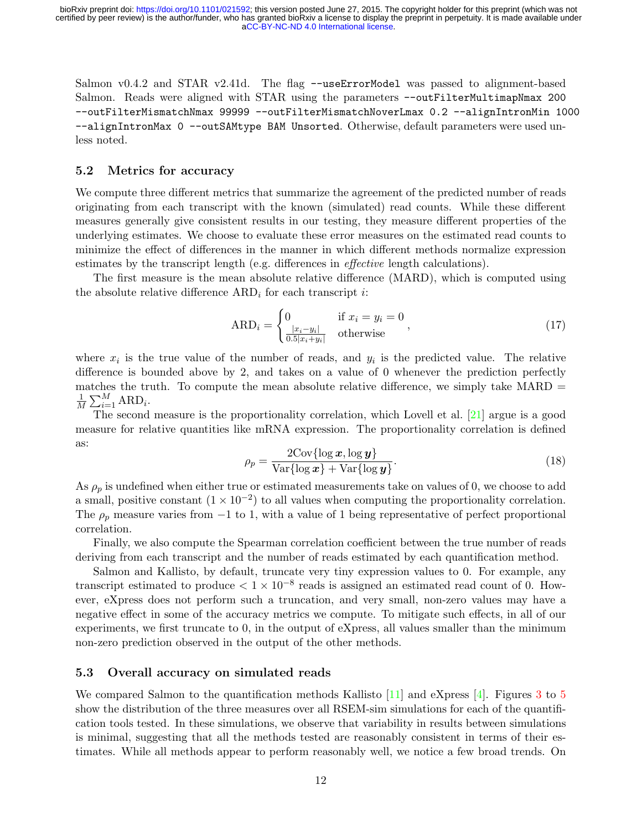Salmon v0.4.2 and STAR v2.41d. The flag --useErrorModel was passed to alignment-based Salmon. Reads were aligned with STAR using the parameters --outFilterMultimapNmax 200 --outFilterMismatchNmax 99999 --outFilterMismatchNoverLmax 0.2 --alignIntronMin 1000 --alignIntronMax 0 --outSAMtype BAM Unsorted. Otherwise, default parameters were used unless noted.

#### 5.2 Metrics for accuracy

We compute three different metrics that summarize the agreement of the predicted number of reads originating from each transcript with the known (simulated) read counts. While these different measures generally give consistent results in our testing, they measure different properties of the underlying estimates. We choose to evaluate these error measures on the estimated read counts to minimize the effect of differences in the manner in which different methods normalize expression estimates by the transcript length (e.g. differences in effective length calculations).

The first measure is the mean absolute relative difference (MARD), which is computed using the absolute relative difference  $ARD_i$  for each transcript *i*:

$$
ARD_i = \begin{cases} 0 & \text{if } x_i = y_i = 0\\ \frac{|x_i - y_i|}{0.5|x_i + y_i|} & \text{otherwise} \end{cases}
$$
\n(17)

where  $x_i$  is the true value of the number of reads, and  $y_i$  is the predicted value. The relative difference is bounded above by 2, and takes on a value of 0 whenever the prediction perfectly matches the truth. To compute the mean absolute relative difference, we simply take  $MARD =$ 1  $\frac{1}{M} \sum_{i=1}^{M} \text{ARD}_i.$ 

The second measure is the proportionality correlation, which Lovell et al. [\[21\]](#page-17-2) argue is a good measure for relative quantities like mRNA expression. The proportionality correlation is defined as:

$$
\rho_p = \frac{2 \text{Cov} \{ \log x, \log y \}}{\text{Var} \{ \log x \} + \text{Var} \{ \log y \}}.
$$
\n(18)

As  $\rho_p$  is undefined when either true or estimated measurements take on values of 0, we choose to add a small, positive constant  $(1 \times 10^{-2})$  to all values when computing the proportionality correlation. The  $\rho_p$  measure varies from -1 to 1, with a value of 1 being representative of perfect proportional correlation.

Finally, we also compute the Spearman correlation coefficient between the true number of reads deriving from each transcript and the number of reads estimated by each quantification method.

Salmon and Kallisto, by default, truncate very tiny expression values to 0. For example, any transcript estimated to produce  $< 1 \times 10^{-8}$  reads is assigned an estimated read count of 0. However, eXpress does not perform such a truncation, and very small, non-zero values may have a negative effect in some of the accuracy metrics we compute. To mitigate such effects, in all of our experiments, we first truncate to 0, in the output of eXpress, all values smaller than the minimum non-zero prediction observed in the output of the other methods.

#### 5.3 Overall accuracy on simulated reads

We compared Salmon to the quantification methods Kallisto  $[11]$  and eXpress  $[4]$ . Figures [3](#page-12-0) to [5](#page-13-0) show the distribution of the three measures over all RSEM-sim simulations for each of the quantification tools tested. In these simulations, we observe that variability in results between simulations is minimal, suggesting that all the methods tested are reasonably consistent in terms of their estimates. While all methods appear to perform reasonably well, we notice a few broad trends. On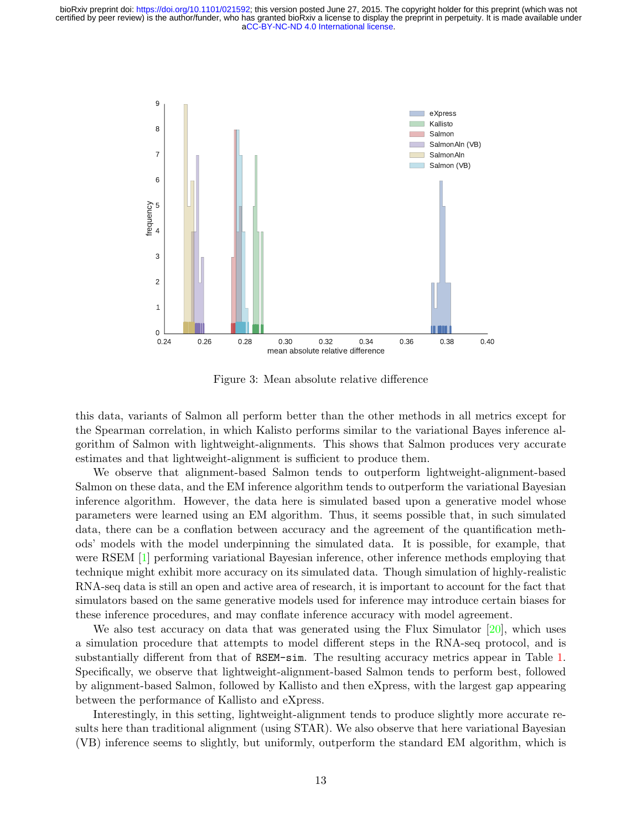<span id="page-12-0"></span>![](_page_12_Figure_1.jpeg)

Figure 3: Mean absolute relative difference

this data, variants of Salmon all perform better than the other methods in all metrics except for the Spearman correlation, in which Kalisto performs similar to the variational Bayes inference algorithm of Salmon with lightweight-alignments. This shows that Salmon produces very accurate estimates and that lightweight-alignment is sufficient to produce them.

We observe that alignment-based Salmon tends to outperform lightweight-alignment-based Salmon on these data, and the EM inference algorithm tends to outperform the variational Bayesian inference algorithm. However, the data here is simulated based upon a generative model whose parameters were learned using an EM algorithm. Thus, it seems possible that, in such simulated data, there can be a conflation between accuracy and the agreement of the quantification methods' models with the model underpinning the simulated data. It is possible, for example, that were RSEM [\[1\]](#page-16-0) performing variational Bayesian inference, other inference methods employing that technique might exhibit more accuracy on its simulated data. Though simulation of highly-realistic RNA-seq data is still an open and active area of research, it is important to account for the fact that simulators based on the same generative models used for inference may introduce certain biases for these inference procedures, and may conflate inference accuracy with model agreement.

We also test accuracy on data that was generated using the Flux Simulator  $[20]$ , which uses a simulation procedure that attempts to model different steps in the RNA-seq protocol, and is substantially different from that of RSEM-sim. The resulting accuracy metrics appear in Table [1.](#page-14-0) Specifically, we observe that lightweight-alignment-based Salmon tends to perform best, followed by alignment-based Salmon, followed by Kallisto and then eXpress, with the largest gap appearing between the performance of Kallisto and eXpress.

Interestingly, in this setting, lightweight-alignment tends to produce slightly more accurate results here than traditional alignment (using STAR). We also observe that here variational Bayesian (VB) inference seems to slightly, but uniformly, outperform the standard EM algorithm, which is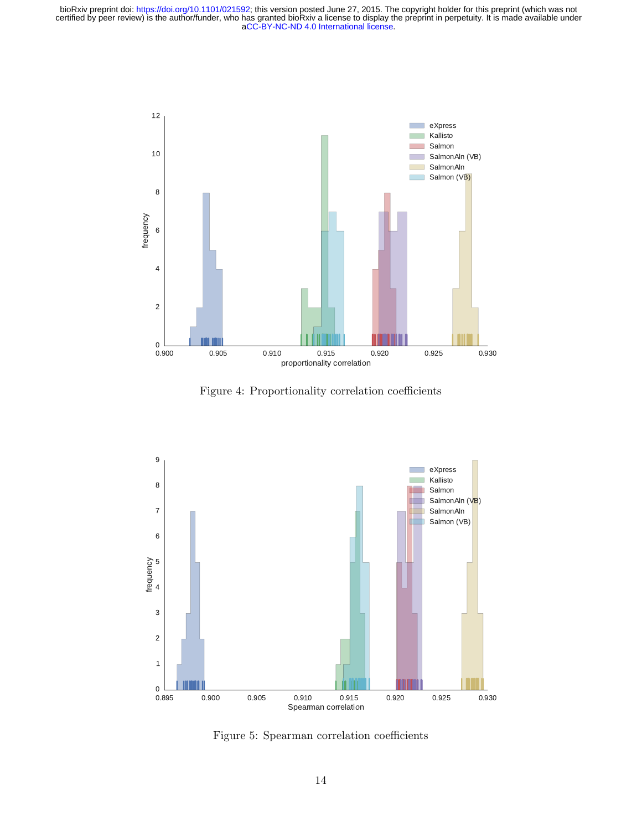![](_page_13_Figure_1.jpeg)

Figure 4: Proportionality correlation coefficients

<span id="page-13-0"></span>![](_page_13_Figure_3.jpeg)

Figure 5: Spearman correlation coefficients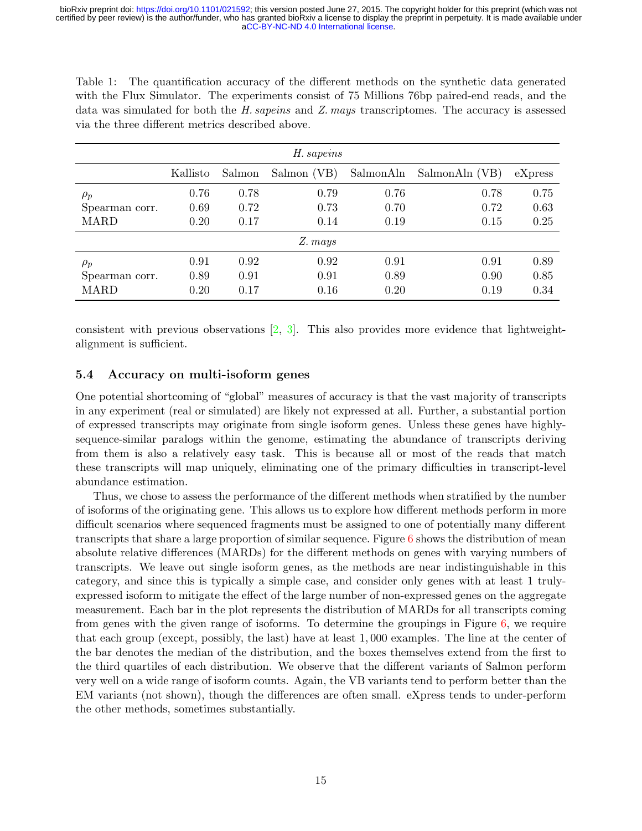<span id="page-14-0"></span>Table 1: The quantification accuracy of the different methods on the synthetic data generated with the Flux Simulator. The experiments consist of 75 Millions 76bp paired-end reads, and the data was simulated for both the H. sapeins and Z. mays transcriptomes. The accuracy is assessed via the three different metrics described above.

| H. sapeins     |          |        |             |           |                |         |
|----------------|----------|--------|-------------|-----------|----------------|---------|
|                | Kallisto | Salmon | Salmon (VB) | SalmonAln | SalmonAln (VB) | eXpress |
| $\rho_p$       | 0.76     | 0.78   | 0.79        | 0.76      | 0.78           | 0.75    |
| Spearman corr. | 0.69     | 0.72   | 0.73        | 0.70      | 0.72           | 0.63    |
| <b>MARD</b>    | 0.20     | 0.17   | 0.14        | 0.19      | 0.15           | 0.25    |
| Z. mays        |          |        |             |           |                |         |
| $\rho_p$       | 0.91     | 0.92   | 0.92        | 0.91      | 0.91           | 0.89    |
| Spearman corr. | 0.89     | 0.91   | 0.91        | 0.89      | 0.90           | 0.85    |
| <b>MARD</b>    | 0.20     | 0.17   | 0.16        | 0.20      | 0.19           | 0.34    |

consistent with previous observations  $[2, 3]$  $[2, 3]$  $[2, 3]$ . This also provides more evidence that lightweightalignment is sufficient.

### 5.4 Accuracy on multi-isoform genes

One potential shortcoming of "global" measures of accuracy is that the vast majority of transcripts in any experiment (real or simulated) are likely not expressed at all. Further, a substantial portion of expressed transcripts may originate from single isoform genes. Unless these genes have highlysequence-similar paralogs within the genome, estimating the abundance of transcripts deriving from them is also a relatively easy task. This is because all or most of the reads that match these transcripts will map uniquely, eliminating one of the primary difficulties in transcript-level abundance estimation.

Thus, we chose to assess the performance of the different methods when stratified by the number of isoforms of the originating gene. This allows us to explore how different methods perform in more difficult scenarios where sequenced fragments must be assigned to one of potentially many different transcripts that share a large proportion of similar sequence. Figure  $6$  shows the distribution of mean absolute relative differences (MARDs) for the different methods on genes with varying numbers of transcripts. We leave out single isoform genes, as the methods are near indistinguishable in this category, and since this is typically a simple case, and consider only genes with at least 1 trulyexpressed isoform to mitigate the effect of the large number of non-expressed genes on the aggregate measurement. Each bar in the plot represents the distribution of MARDs for all transcripts coming from genes with the given range of isoforms. To determine the groupings in Figure [6,](#page-15-0) we require that each group (except, possibly, the last) have at least 1, 000 examples. The line at the center of the bar denotes the median of the distribution, and the boxes themselves extend from the first to the third quartiles of each distribution. We observe that the different variants of Salmon perform very well on a wide range of isoform counts. Again, the VB variants tend to perform better than the EM variants (not shown), though the differences are often small. eXpress tends to under-perform the other methods, sometimes substantially.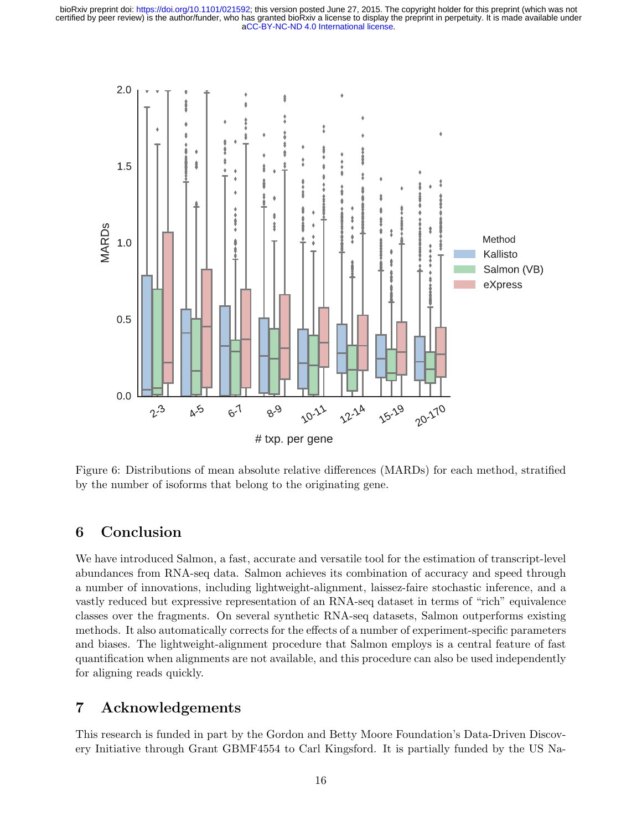<span id="page-15-0"></span>![](_page_15_Figure_1.jpeg)

Figure 6: Distributions of mean absolute relative differences (MARDs) for each method, stratified by the number of isoforms that belong to the originating gene.

# 6 Conclusion

We have introduced Salmon, a fast, accurate and versatile tool for the estimation of transcript-level abundances from RNA-seq data. Salmon achieves its combination of accuracy and speed through a number of innovations, including lightweight-alignment, laissez-faire stochastic inference, and a vastly reduced but expressive representation of an RNA-seq dataset in terms of "rich" equivalence classes over the fragments. On several synthetic RNA-seq datasets, Salmon outperforms existing methods. It also automatically corrects for the effects of a number of experiment-specific parameters and biases. The lightweight-alignment procedure that Salmon employs is a central feature of fast quantification when alignments are not available, and this procedure can also be used independently for aligning reads quickly.

# 7 Acknowledgements

This research is funded in part by the Gordon and Betty Moore Foundation's Data-Driven Discovery Initiative through Grant GBMF4554 to Carl Kingsford. It is partially funded by the US Na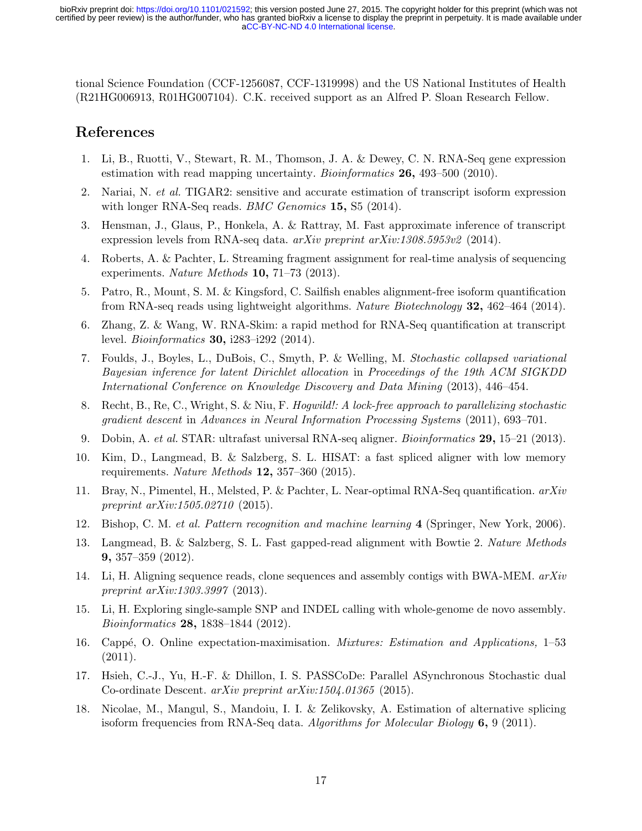tional Science Foundation (CCF-1256087, CCF-1319998) and the US National Institutes of Health (R21HG006913, R01HG007104). C.K. received support as an Alfred P. Sloan Research Fellow.

# References

- <span id="page-16-0"></span>1. Li, B., Ruotti, V., Stewart, R. M., Thomson, J. A. & Dewey, C. N. RNA-Seq gene expression estimation with read mapping uncertainty. *Bioinformatics* **26**, 493–500 (2010).
- <span id="page-16-1"></span>2. Nariai, N. et al. TIGAR2: sensitive and accurate estimation of transcript isoform expression with longer RNA-Seq reads. *BMC Genomics* 15, S5 (2014).
- <span id="page-16-2"></span>3. Hensman, J., Glaus, P., Honkela, A. & Rattray, M. Fast approximate inference of transcript expression levels from RNA-seq data. arXiv preprint arXiv:1308.5953v2 (2014).
- <span id="page-16-3"></span>4. Roberts, A. & Pachter, L. Streaming fragment assignment for real-time analysis of sequencing experiments. Nature Methods 10, 71–73 (2013).
- <span id="page-16-4"></span>5. Patro, R., Mount, S. M. & Kingsford, C. Sailfish enables alignment-free isoform quantification from RNA-seq reads using lightweight algorithms. Nature Biotechnology 32, 462–464 (2014).
- <span id="page-16-5"></span>6. Zhang, Z. & Wang, W. RNA-Skim: a rapid method for RNA-Seq quantification at transcript level. Bioinformatics 30, i283–i292 (2014).
- <span id="page-16-6"></span>7. Foulds, J., Boyles, L., DuBois, C., Smyth, P. & Welling, M. Stochastic collapsed variational Bayesian inference for latent Dirichlet allocation in Proceedings of the 19th ACM SIGKDD International Conference on Knowledge Discovery and Data Mining (2013), 446–454.
- <span id="page-16-7"></span>8. Recht, B., Re, C., Wright, S. & Niu, F. Hogwild!: A lock-free approach to parallelizing stochastic gradient descent in Advances in Neural Information Processing Systems (2011), 693–701.
- <span id="page-16-8"></span>9. Dobin, A. et al. STAR: ultrafast universal RNA-seq aligner. Bioinformatics 29, 15–21 (2013).
- <span id="page-16-9"></span>10. Kim, D., Langmead, B. & Salzberg, S. L. HISAT: a fast spliced aligner with low memory requirements. Nature Methods 12, 357–360 (2015).
- <span id="page-16-10"></span>11. Bray, N., Pimentel, H., Melsted, P. & Pachter, L. Near-optimal RNA-Seq quantification. arXiv preprint arXiv:1505.02710 (2015).
- <span id="page-16-11"></span>12. Bishop, C. M. et al. Pattern recognition and machine learning 4 (Springer, New York, 2006).
- <span id="page-16-12"></span>13. Langmead, B. & Salzberg, S. L. Fast gapped-read alignment with Bowtie 2. Nature Methods 9, 357–359 (2012).
- <span id="page-16-13"></span>14. Li, H. Aligning sequence reads, clone sequences and assembly contigs with BWA-MEM. arXiv preprint arXiv:1303.3997 (2013).
- <span id="page-16-14"></span>15. Li, H. Exploring single-sample SNP and INDEL calling with whole-genome de novo assembly. Bioinformatics 28, 1838–1844 (2012).
- <span id="page-16-15"></span>16. Capp´e, O. Online expectation-maximisation. Mixtures: Estimation and Applications, 1–53 (2011).
- <span id="page-16-16"></span>17. Hsieh, C.-J., Yu, H.-F. & Dhillon, I. S. PASSCoDe: Parallel ASynchronous Stochastic dual Co-ordinate Descent. arXiv preprint arXiv:1504.01365 (2015).
- <span id="page-16-17"></span>18. Nicolae, M., Mangul, S., Mandoiu, I. I. & Zelikovsky, A. Estimation of alternative splicing isoform frequencies from RNA-Seq data. Algorithms for Molecular Biology 6, 9 (2011).